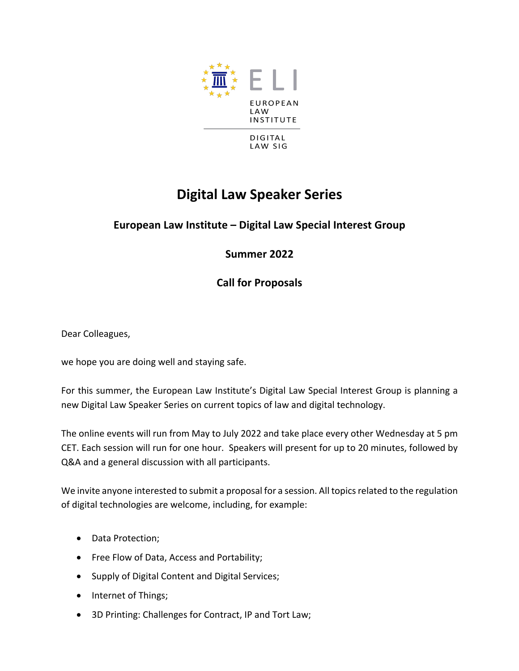

## **Digital Law Speaker Series**

## **European Law Institute – Digital Law Special Interest Group**

**Summer 2022**

**Call for Proposals**

Dear Colleagues,

we hope you are doing well and staying safe.

For this summer, the European Law Institute's Digital Law Special Interest Group is planning a new Digital Law Speaker Series on current topics of law and digital technology.

The online events will run from May to July 2022 and take place every other Wednesday at 5 pm CET. Each session will run for one hour. Speakers will present for up to 20 minutes, followed by Q&A and a general discussion with all participants.

We invite anyone interested to submit a proposal for a session. All topics related to the regulation of digital technologies are welcome, including, for example:

- Data Protection;
- Free Flow of Data, Access and Portability;
- Supply of Digital Content and Digital Services;
- Internet of Things;
- 3D Printing: Challenges for Contract, IP and Tort Law;